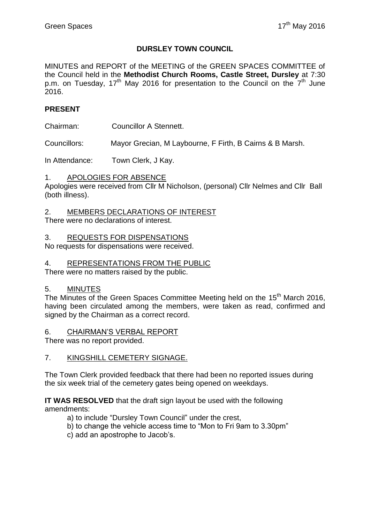## **DURSLEY TOWN COUNCIL**

MINUTES and REPORT of the MEETING of the GREEN SPACES COMMITTEE of the Council held in the **Methodist Church Rooms, Castle Street, Dursley** at 7:30 p.m. on Tuesday, 17<sup>th</sup> May 2016 for presentation to the Council on the 7<sup>th</sup> June 2016.

## **PRESENT**

Chairman: Councillor A Stennett.

Councillors: Mayor Grecian, M Laybourne, F Firth, B Cairns & B Marsh.

In Attendance: Town Clerk, J Kay.

### 1. APOLOGIES FOR ABSENCE

Apologies were received from Cllr M Nicholson, (personal) Cllr Nelmes and Cllr Ball (both illness).

2. MEMBERS DECLARATIONS OF INTEREST

There were no declarations of interest.

### 3. REQUESTS FOR DISPENSATIONS

No requests for dispensations were received.

#### 4. REPRESENTATIONS FROM THE PUBLIC

There were no matters raised by the public.

### 5. MINUTES

The Minutes of the Green Spaces Committee Meeting held on the 15<sup>th</sup> March 2016, having been circulated among the members, were taken as read, confirmed and signed by the Chairman as a correct record.

### 6. CHAIRMAN'S VERBAL REPORT

There was no report provided.

### 7. KINGSHILL CEMETERY SIGNAGE.

The Town Clerk provided feedback that there had been no reported issues during the six week trial of the cemetery gates being opened on weekdays.

**IT WAS RESOLVED** that the draft sign layout be used with the following amendments:

- a) to include "Dursley Town Council" under the crest,
- b) to change the vehicle access time to "Mon to Fri 9am to 3.30pm"
- c) add an apostrophe to Jacob's.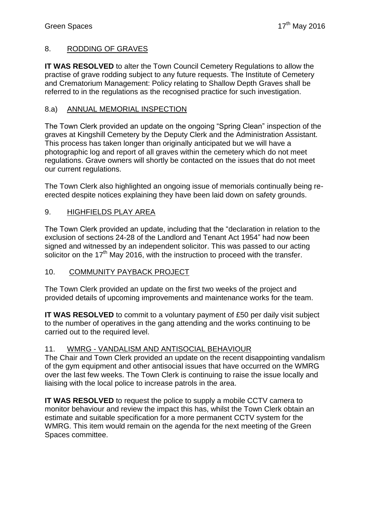# 8. RODDING OF GRAVES

**IT WAS RESOLVED** to alter the Town Council Cemetery Regulations to allow the practise of grave rodding subject to any future requests. The Institute of Cemetery and Crematorium Management: Policy relating to Shallow Depth Graves shall be referred to in the regulations as the recognised practice for such investigation.

# 8.a) ANNUAL MEMORIAL INSPECTION

The Town Clerk provided an update on the ongoing "Spring Clean" inspection of the graves at Kingshill Cemetery by the Deputy Clerk and the Administration Assistant. This process has taken longer than originally anticipated but we will have a photographic log and report of all graves within the cemetery which do not meet regulations. Grave owners will shortly be contacted on the issues that do not meet our current regulations.

The Town Clerk also highlighted an ongoing issue of memorials continually being reerected despite notices explaining they have been laid down on safety grounds.

# 9. HIGHFIELDS PLAY AREA

The Town Clerk provided an update, including that the "declaration in relation to the exclusion of sections 24-28 of the Landlord and Tenant Act 1954" had now been signed and witnessed by an independent solicitor. This was passed to our acting solicitor on the  $17<sup>th</sup>$  May 2016, with the instruction to proceed with the transfer.

## 10. COMMUNITY PAYBACK PROJECT

The Town Clerk provided an update on the first two weeks of the project and provided details of upcoming improvements and maintenance works for the team.

**IT WAS RESOLVED** to commit to a voluntary payment of £50 per daily visit subject to the number of operatives in the gang attending and the works continuing to be carried out to the required level.

# 11. WMRG - VANDALISM AND ANTISOCIAL BEHAVIOUR

The Chair and Town Clerk provided an update on the recent disappointing vandalism of the gym equipment and other antisocial issues that have occurred on the WMRG over the last few weeks. The Town Clerk is continuing to raise the issue locally and liaising with the local police to increase patrols in the area.

**IT WAS RESOLVED** to request the police to supply a mobile CCTV camera to monitor behaviour and review the impact this has, whilst the Town Clerk obtain an estimate and suitable specification for a more permanent CCTV system for the WMRG. This item would remain on the agenda for the next meeting of the Green Spaces committee.